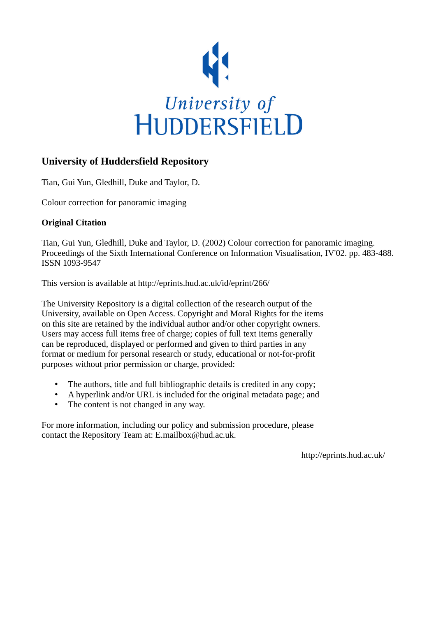

# **University of Huddersfield Repository**

Tian, Gui Yun, Gledhill, Duke and Taylor, D.

Colour correction for panoramic imaging

# **Original Citation**

Tian, Gui Yun, Gledhill, Duke and Taylor, D. (2002) Colour correction for panoramic imaging. Proceedings of the Sixth International Conference on Information Visualisation, IV'02. pp. 483-488. ISSN 1093-9547

This version is available at http://eprints.hud.ac.uk/id/eprint/266/

The University Repository is a digital collection of the research output of the University, available on Open Access. Copyright and Moral Rights for the items on this site are retained by the individual author and/or other copyright owners. Users may access full items free of charge; copies of full text items generally can be reproduced, displayed or performed and given to third parties in any format or medium for personal research or study, educational or not-for-profit purposes without prior permission or charge, provided:

- The authors, title and full bibliographic details is credited in any copy;
- A hyperlink and/or URL is included for the original metadata page; and
- The content is not changed in any way.

For more information, including our policy and submission procedure, please contact the Repository Team at: E.mailbox@hud.ac.uk.

http://eprints.hud.ac.uk/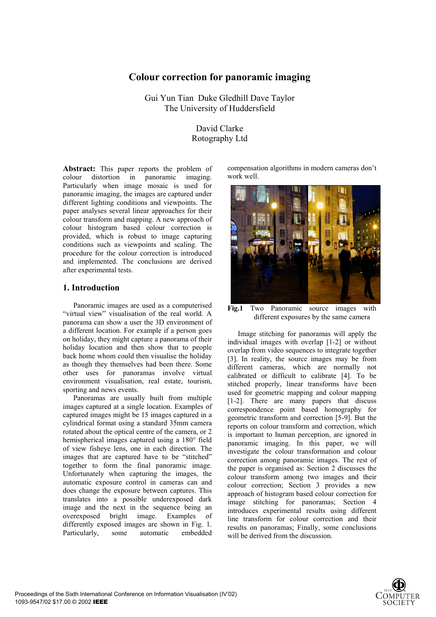# **Colour correction for panoramic imaging**

Gui Yun Tian Duke Gledhill Dave Taylor The University of Huddersfield

## David Clarke Rotography Ltd

**Abstract:** This paper reports the problem of colour distortion in panoramic imaging. Particularly when image mosaic is used for panoramic imaging, the images are captured under different lighting conditions and viewpoints. The paper analyses several linear approaches for their colour transform and mapping. A new approach of colour histogram based colour correction is provided, which is robust to image capturing conditions such as viewpoints and scaling. The procedure for the colour correction is introduced and implemented. The conclusions are derived after experimental tests.

## **1. Introduction**

Panoramic images are used as a computerised "virtual view" visualisation of the real world. A panorama can show a user the 3D environment of a different location. For example if a person goes on holiday, they might capture a panorama of their holiday location and then show that to people back home whom could then visualise the holiday as though they themselves had been there. Some other uses for panoramas involve virtual environment visualisation, real estate, tourism, sporting and news events.

Panoramas are usually built from multiple images captured at a single location. Examples of captured images might be 15 images captured in a cylindrical format using a standard 35mm camera rotated about the optical centre of the camera, or 2 hemispherical images captured using a 180° field of view fisheye lens, one in each direction. The images that are captured have to be "stitched" together to form the final panoramic image. Unfortunately when capturing the images, the automatic exposure control in cameras can and does change the exposure between captures. This translates into a possible underexposed dark image and the next in the sequence being an overexposed bright image. Examples of differently exposed images are shown in Fig. 1. Particularly, some automatic embedded compensation algorithms in modern cameras don't work well.



Fig.1 Two Panoramic source images with different exposures by the same camera

Image stitching for panoramas will apply the individual images with overlap [1-2] or without overlap from video sequences to integrate together [3]. In reality, the source images may be from different cameras, which are normally not calibrated or difficult to calibrate [4]. To be stitched properly, linear transforms have been used for geometric mapping and colour mapping [1-2]. There are many papers that discuss correspondence point based homography for geometric transform and correction [5-9]. But the reports on colour transform and correction, which is important to human perception, are ignored in panoramic imaging. In this paper, we will investigate the colour transformation and colour correction among panoramic images. The rest of the paper is organised as: Section 2 discusses the colour transform among two images and their colour correction; Section 3 provides a new approach of histogram based colour correction for image stitching for panoramas; Section 4 introduces experimental results using different line transform for colour correction and their results on panoramas; Finally, some conclusions will be derived from the discussion.

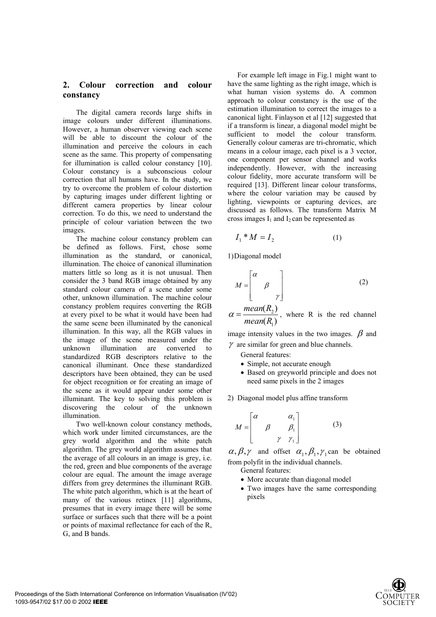## **2. Colour correction and colour constancy**

The digital camera records large shifts in image colours under different illuminations. However, a human observer viewing each scene will be able to discount the colour of the illumination and perceive the colours in each scene as the same. This property of compensating for illumination is called colour constancy [10]. Colour constancy is a subconscious colour correction that all humans have. In the study, we try to overcome the problem of colour distortion by capturing images under different lighting or different camera properties by linear colour correction. To do this, we need to understand the principle of colour variation between the two images.

The machine colour constancy problem can be defined as follows. First, chose some illumination as the standard, or canonical, illumination. The choice of canonical illumination matters little so long as it is not unusual. Then consider the 3 band RGB image obtained by any standard colour camera of a scene under some other, unknown illumination. The machine colour constancy problem requires converting the RGB at every pixel to be what it would have been had the same scene been illuminated by the canonical illumination. In this way, all the RGB values in the image of the scene measured under the unknown illumination are converted to standardized RGB descriptors relative to the canonical illuminant. Once these standardized descriptors have been obtained, they can be used for object recognition or for creating an image of the scene as it would appear under some other illuminant. The key to solving this problem is discovering the colour of the unknown illumination.

Two well-known colour constancy methods, which work under limited circumstances, are the grey world algorithm and the white patch algorithm. The grey world algorithm assumes that the average of all colours in an image is grey, i.e. the red, green and blue components of the average colour are equal. The amount the image average differs from grey determines the illuminant RGB. The white patch algorithm, which is at the heart of many of the various retinex [11] algorithms, presumes that in every image there will be some surface or surfaces such that there will be a point or points of maximal reflectance for each of the R, G, and B bands.

For example left image in Fig.1 might want to have the same lighting as the right image, which is what human vision systems do. A common approach to colour constancy is the use of the estimation illumination to correct the images to a canonical light. Finlayson et al [12] suggested that if a transform is linear, a diagonal model might be sufficient to model the colour transform. Generally colour cameras are tri-chromatic, which means in a colour image, each pixel is a 3 vector, one component per sensor channel and works independently. However, with the increasing colour fidelity, more accurate transform will be required [13]. Different linear colour transforms, where the colour variation may be caused by lighting, viewpoints or capturing devices, are discussed as follows. The transform Matrix M cross images  $I_1$  and  $I_2$  can be represented as

$$
I_1 * M = I_2 \tag{1}
$$

1)Diagonal model

$$
M = \begin{bmatrix} \alpha & & \\ & \beta & \\ & & \gamma \end{bmatrix}
$$
 (2)  
mean(R<sub>2</sub>)

 $(R<sub>1</sub>)$ 1 2 *Rmean*  $\alpha = \frac{mean(R_2)}{R_2}$ , where R is the red channel

image intensity values in the two images.  $\beta$  and  $\gamma$  are similar for green and blue channels.

- General features:
- Simple, not accurate enough
- Based on greyworld principle and does not need same pixels in the 2 images
- 2) Diagonal model plus affine transform

$$
M = \begin{bmatrix} \alpha & \alpha_1 \\ \beta & \beta_1 \\ \gamma & \gamma_1 \end{bmatrix}
$$
 (3)

 $\alpha, \beta, \gamma$  and offset  $\alpha_1, \beta_1, \gamma_1$  can be obtained from polyfit in the individual channels.

General features:

- More accurate than diagonal model
- Two images have the same corresponding pixels

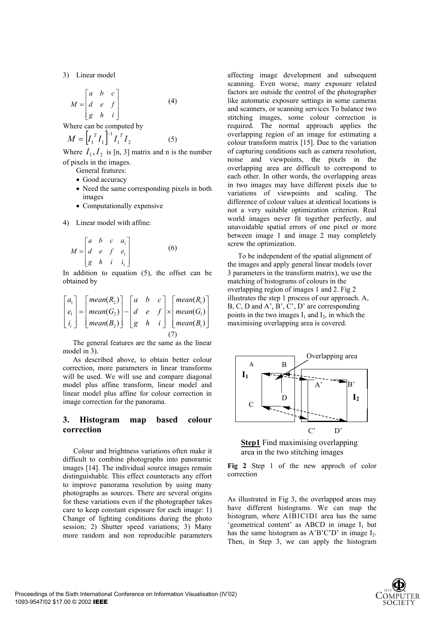3) Linear model

$$
M = \begin{bmatrix} a & b & c \\ d & e & f \\ g & h & i \end{bmatrix}
$$
 (4)

Where can be computed by

$$
M = \left[I_1^T I_1\right]^{-1} I_1^T I_2 \tag{5}
$$

Where  $I_1, I_2$  is [n, 3] matrix and n is the number of pixels in the images.

General features:

- Good accuracy
- Need the same corresponding pixels in both images
- Computationally expensive
- 4) Linear model with affine:

$$
M = \begin{bmatrix} a & b & c & a_1 \\ d & e & f & e_1 \\ g & h & i & i_1 \end{bmatrix}
$$
 (6)

In addition to equation (5), the offset can be obtained by

$$
\begin{bmatrix} a_1 \\ e_1 \\ i_i \end{bmatrix} = \begin{bmatrix} mean(R_2) \\ mean(G_2) \\ mean(B_2) \end{bmatrix} - \begin{bmatrix} a & b & c \\ d & e & f \\ g & h & i \end{bmatrix} \times \begin{bmatrix} mean(R_1) \\ mean(G_1) \\ mean(B_1) \end{bmatrix}
$$
  
(7)

The general features are the same as the linear model in 3).

As described above, to obtain better colour correction, more parameters in linear transforms will be used. We will use and compare diagonal model plus affine transform, linear model and linear model plus affine for colour correction in image correction for the panorama.

#### **3. Histogram map based colour correction**

Colour and brightness variations often make it difficult to combine photographs into panoramic images [14]. The individual source images remain distinguishable. This effect counteracts any effort to improve panorama resolution by using many photographs as sources. There are several origins for these variations even if the photographer takes care to keep constant exposure for each image: 1) Change of lighting conditions during the photo session; 2) Shutter speed variations; 3) Many more random and non reproducible parameters

affecting image development and subsequent scanning. Even worse, many exposure related factors are outside the control of the photographer like automatic exposure settings in some cameras and scanners, or scanning services To balance two stitching images, some colour correction is required. The normal approach applies the overlapping region of an image for estimating a colour transform matrix [15]. Due to the variation of capturing conditions such as camera resolution, noise and viewpoints, the pixels in the overlapping area are difficult to correspond to each other. In other words, the overlapping areas in two images may have different pixels due to variations of viewpoints and scaling. The difference of colour values at identical locations is not a very suitable optimization criterion. Real world images never fit together perfectly, and unavoidable spatial errors of one pixel or more between image 1 and image 2 may completely screw the optimization.

To be independent of the spatial alignment of the images and apply general linear models (over 3 parameters in the transform matrix), we use the matching of histograms of colours in the overlapping region of images 1 and 2. Fig 2 illustrates the step 1 process of our approach. A, B, C, D and A', B', C', D' are corresponding points in the two images  $I_1$  and  $I_2$ , in which the maximising overlapping area is covered.



**Step1** Find maximising overlapping area in the two stitching images

**Fig 2** Step 1 of the new approch of color correction

As illustrated in Fig 3, the overlapped areas may have different histograms. We can map the histogram, where A1B1C1D1 area has the same 'geometrical content' as ABCD in image  $I_1$  but has the same histogram as  $A'B'C'D'$  in image  $I_2$ . Then, in Step 3, we can apply the histogram

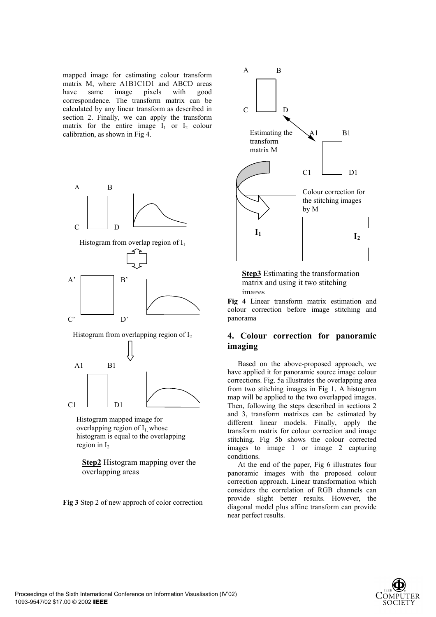mapped image for estimating colour transform matrix M, where A1B1C1D1 and ABCD areas have same image pixels with good correspondence. The transform matrix can be calculated by any linear transform as described in section 2. Finally, we can apply the transform matrix for the entire image  $I_1$  or  $I_2$  colour calibration, as shown in Fig 4.



Histogram mapped image for overlapping region of  $I_1$  whose histogram is equal to the overlapping region in  $I_2$ 

**Step2** Histogram mapping over the overlapping areas

**Fig 3** Step 2 of new approch of color correction





**Fig 4** Linear transform matrix estimation and colour correction before image stitching and panorama

## **4. Colour correction for panoramic imaging**

Based on the above-proposed approach, we have applied it for panoramic source image colour corrections. Fig. 5a illustrates the overlapping area from two stitching images in Fig 1. A histogram map will be applied to the two overlapped images. Then, following the steps described in sections 2 and 3, transform matrixes can be estimated by different linear models. Finally, apply the transform matrix for colour correction and image stitching. Fig 5b shows the colour corrected images to image 1 or image 2 capturing conditions.

At the end of the paper, Fig 6 illustrates four panoramic images with the proposed colour correction approach. Linear transformation which considers the correlation of RGB channels can provide slight better results. However, the diagonal model plus affine transform can provide near perfect results.

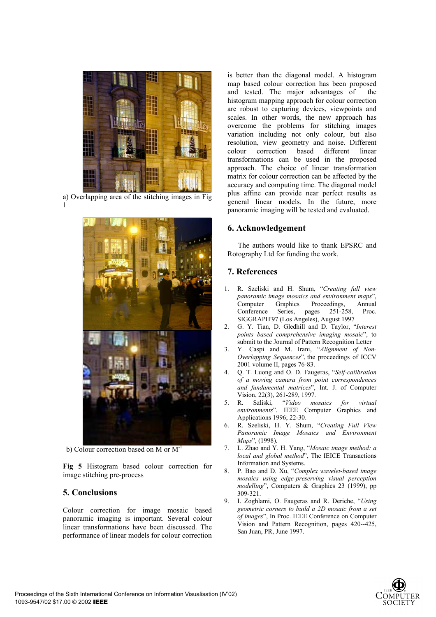

a) Overlapping area of the stitching images in Fig 1



b) Colour correction based on M or  $M^{-1}$ 

**Fig 5** Histogram based colour correction for image stitching pre-process

## **5. Conclusions**

Colour correction for image mosaic based panoramic imaging is important. Several colour linear transformations have been discussed. The performance of linear models for colour correction

is better than the diagonal model. A histogram map based colour correction has been proposed and tested. The major advantages of the histogram mapping approach for colour correction are robust to capturing devices, viewpoints and scales. In other words, the new approach has overcome the problems for stitching images variation including not only colour, but also resolution, view geometry and noise. Different colour correction based different linear transformations can be used in the proposed approach. The choice of linear transformation matrix for colour correction can be affected by the accuracy and computing time. The diagonal model plus affine can provide near perfect results as general linear models. In the future, more panoramic imaging will be tested and evaluated.

#### **6. Acknowledgement**

The authors would like to thank EPSRC and Rotography Ltd for funding the work.

#### **7. References**

- 1. R. Szeliski and H. Shum, "*Creating full view panoramic image mosaics and environment maps*", Computer Graphics Proceedings, Annual Conference Series, pages 251-258, Proc. SIGGRAPH'97 (Los Angeles), August 1997
- 2. G. Y. Tian, D. Gledhill and D. Taylor, "*Interest points based comprehensive imaging mosaic*", to submit to the Journal of Pattern Recognition Letter
- 3. Y. Caspi and M. Irani, "*Alignment of Non-Overlapping Sequences*", the proceedings of ICCV 2001 volume II, pages 76-83.
- 4. Q. T. Luong and O. D. Faugeras, "*Self-calibration of a moving camera from point correspondences and fundamental matrices*", Int. J. of Computer Vision, 22(3), 261-289, 1997.
- 5. R. Szliski, "*Video mosaics for virtual environments*". IEEE Computer Graphics and Applications 1996; 22-30.
- 6. R. Szeliski, H. Y. Shum, "*Creating Full View Panoramic Image Mosaics and Environment Maps*", (1998).
- 7. L. Zhao and Y. H. Yang, "*Mosaic image method: a local and global method*", The IEICE Transactions Information and Systems.
- 8. P. Bao and D. Xu, "*Complex wavelet-based image mosaics using edge-preserving visual perception modelling*", Computers & Graphics 23 (1999), pp 309-321.
- 9. I. Zoghlami, O. Faugeras and R. Deriche, "*Using geometric corners to build a 2D mosaic from a set of images*", In Proc. IEEE Conference on Computer Vision and Pattern Recognition, pages 420--425, San Juan, PR, June 1997.